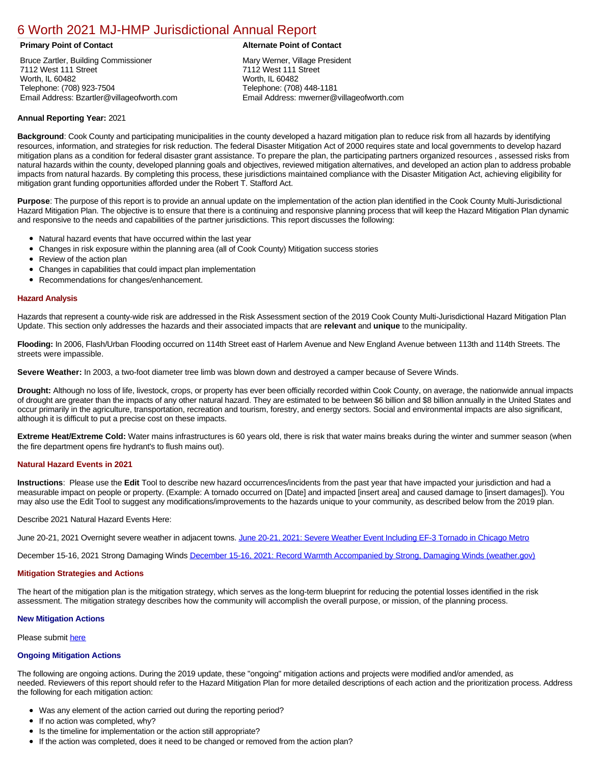# [6 Worth 2021 MJ-HMP Jurisdictional Annual Report](https://worth.isc-cemp.com/Cemp/Details?id=8326678)

Bruce Zartler, Building Commissioner 7112 West 111 Street Worth, IL 60482 Telephone: (708) 923-7504 Email Address: Bzartler@villageofworth.com

# **Primary Point of Contact Alternate Point of Contact**

Mary Werner, Village President 7112 West 111 Street Worth, IL 60482 Telephone: (708) 448-1181 Email Address: mwerner@villageofworth.com

# **Annual Reporting Year:** 2021

**Background**: Cook County and participating municipalities in the county developed a hazard mitigation plan to reduce risk from all hazards by identifying resources, information, and strategies for risk reduction. The federal Disaster Mitigation Act of 2000 requires state and local governments to develop hazard mitigation plans as a condition for federal disaster grant assistance. To prepare the plan, the participating partners organized resources , assessed risks from natural hazards within the county, developed planning goals and objectives, reviewed mitigation alternatives, and developed an action plan to address probable impacts from natural hazards. By completing this process, these jurisdictions maintained compliance with the Disaster Mitigation Act, achieving eligibility for mitigation grant funding opportunities afforded under the Robert T. Stafford Act.

**Purpose**: The purpose of this report is to provide an annual update on the implementation of the action plan identified in the Cook County Multi-Jurisdictional Hazard Mitigation Plan. The objective is to ensure that there is a continuing and responsive planning process that will keep the Hazard Mitigation Plan dynamic and responsive to the needs and capabilities of the partner jurisdictions. This report discusses the following:

- Natural hazard events that have occurred within the last year
- $\bullet$ Changes in risk exposure within the planning area (all of Cook County) Mitigation success stories
- Review of the action plan  $\bullet$
- $\bullet$ Changes in capabilities that could impact plan implementation
- Recommendations for changes/enhancement.  $\bullet$

#### **Hazard Analysis**

Hazards that represent a county-wide risk are addressed in the Risk Assessment section of the 2019 Cook County Multi-Jurisdictional Hazard Mitigation Plan Update. This section only addresses the hazards and their associated impacts that are **relevant** and **unique** to the municipality.

**Flooding:** In 2006, Flash/Urban Flooding occurred on 114th Street east of Harlem Avenue and New England Avenue between 113th and 114th Streets. The streets were impassible.

**Severe Weather:** In 2003, a two-foot diameter tree limb was blown down and destroyed a camper because of Severe Winds.

**Drought:** Although no loss of life, livestock, crops, or property has ever been officially recorded within Cook County, on average, the nationwide annual impacts of drought are greater than the impacts of any other natural hazard. They are estimated to be between \$6 billion and \$8 billion annually in the United States and occur primarily in the agriculture, transportation, recreation and tourism, forestry, and energy sectors. Social and environmental impacts are also significant, although it is difficult to put a precise cost on these impacts.

**Extreme Heat/Extreme Cold:** Water mains infrastructures is 60 years old, there is risk that water mains breaks during the winter and summer season (when the fire department opens fire hydrant's to flush mains out).

### **Natural Hazard Events in 2021**

**Instructions**: Please use the **Edit** Tool to describe new hazard occurrences/incidents from the past year that have impacted your jurisdiction and had a measurable impact on people or property. (Example: A tornado occurred on [Date] and impacted [insert area] and caused damage to [insert damages]). You may also use the Edit Tool to suggest any modifications/improvements to the hazards unique to your community, as described below from the 2019 plan.

#### Describe 2021 Natural Hazard Events Here:

June 20-21, 2021 Overnight severe weather in adjacent towns. [June 20-21, 2021: Severe Weather Event Including EF-3 Tornado in Chicago Metro](https://www.weather.gov/lot/2021jun2021)

December 15-16, 2021 Strong Damaging Winds [December 15-16, 2021: Record Warmth Accompanied by Strong, Damaging Winds \(weather.gov\)](https://www.weather.gov/lot/2021dec1516)

#### **Mitigation Strategies and Actions**

The heart of the mitigation plan is the mitigation strategy, which serves as the long-term blueprint for reducing the potential losses identified in the risk assessment. The mitigation strategy describes how the community will accomplish the overall purpose, or mission, of the planning process.

# **New Mitigation Actions**

Please submit [here](https://integratedsolutions.wufoo.com/forms/mg21jvf0jn639o/)

### **Ongoing Mitigation Actions**

The following are ongoing actions. During the 2019 update, these "ongoing" mitigation actions and projects were modified and/or amended, as needed. Reviewers of this report should refer to the Hazard Mitigation Plan for more detailed descriptions of each action and the prioritization process. Address the following for each mitigation action:

- Was any element of the action carried out during the reporting period?
- If no action was completed, why?
- Is the timeline for implementation or the action still appropriate?
- If the action was completed, does it need to be changed or removed from the action plan?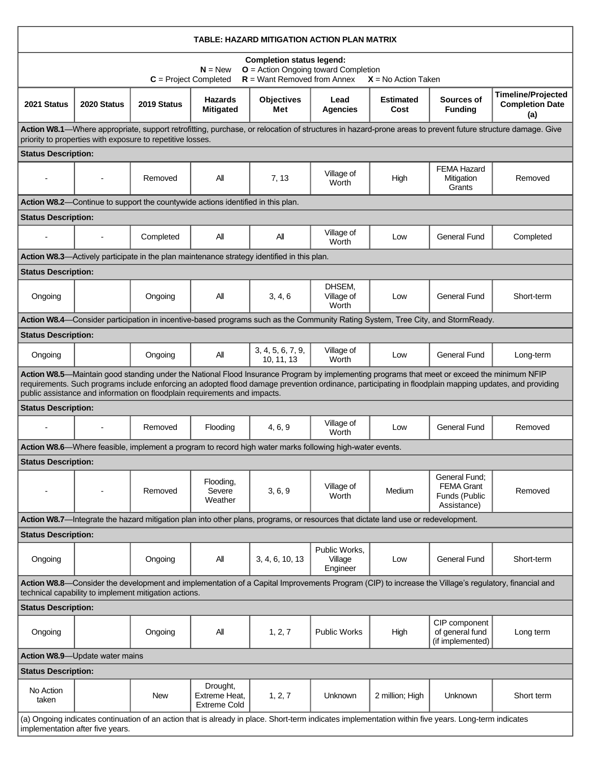| TABLE: HAZARD MITIGATION ACTION PLAN MATRIX                                                                                                                                                                                                                                                                                                                                        |             |             |                                                  |                                 |                                      |                          |                                                                    |                                                            |
|------------------------------------------------------------------------------------------------------------------------------------------------------------------------------------------------------------------------------------------------------------------------------------------------------------------------------------------------------------------------------------|-------------|-------------|--------------------------------------------------|---------------------------------|--------------------------------------|--------------------------|--------------------------------------------------------------------|------------------------------------------------------------|
| <b>Completion status legend:</b><br>$O =$ Action Ongoing toward Completion<br>$N = New$<br>$R =$ Want Removed from Annex<br>$C = Project Completed$<br>$X = No$ Action Taken                                                                                                                                                                                                       |             |             |                                                  |                                 |                                      |                          |                                                                    |                                                            |
| 2021 Status                                                                                                                                                                                                                                                                                                                                                                        | 2020 Status | 2019 Status | <b>Hazards</b><br><b>Mitigated</b>               | <b>Objectives</b><br>Met        | Lead<br><b>Agencies</b>              | <b>Estimated</b><br>Cost | Sources of<br><b>Funding</b>                                       | <b>Timeline/Projected</b><br><b>Completion Date</b><br>(a) |
| Action W8.1—Where appropriate, support retrofitting, purchase, or relocation of structures in hazard-prone areas to prevent future structure damage. Give<br>priority to properties with exposure to repetitive losses.                                                                                                                                                            |             |             |                                                  |                                 |                                      |                          |                                                                    |                                                            |
| <b>Status Description:</b>                                                                                                                                                                                                                                                                                                                                                         |             |             |                                                  |                                 |                                      |                          |                                                                    |                                                            |
|                                                                                                                                                                                                                                                                                                                                                                                    |             | Removed     | All                                              | 7, 13                           | Village of<br>Worth                  | High                     | <b>FEMA Hazard</b><br>Mitigation<br>Grants                         | Removed                                                    |
| Action W8.2-Continue to support the countywide actions identified in this plan.                                                                                                                                                                                                                                                                                                    |             |             |                                                  |                                 |                                      |                          |                                                                    |                                                            |
| <b>Status Description:</b>                                                                                                                                                                                                                                                                                                                                                         |             |             |                                                  |                                 |                                      |                          |                                                                    |                                                            |
|                                                                                                                                                                                                                                                                                                                                                                                    |             | Completed   | All                                              | All                             | Village of<br>Worth                  | Low                      | <b>General Fund</b>                                                | Completed                                                  |
| Action W8.3—Actively participate in the plan maintenance strategy identified in this plan.                                                                                                                                                                                                                                                                                         |             |             |                                                  |                                 |                                      |                          |                                                                    |                                                            |
| <b>Status Description:</b>                                                                                                                                                                                                                                                                                                                                                         |             |             |                                                  |                                 |                                      |                          |                                                                    |                                                            |
| Ongoing                                                                                                                                                                                                                                                                                                                                                                            |             | Ongoing     | All                                              | 3, 4, 6                         | DHSEM.<br>Village of<br>Worth        | Low                      | <b>General Fund</b>                                                | Short-term                                                 |
| Action W8.4—Consider participation in incentive-based programs such as the Community Rating System, Tree City, and StormReady.                                                                                                                                                                                                                                                     |             |             |                                                  |                                 |                                      |                          |                                                                    |                                                            |
| <b>Status Description:</b>                                                                                                                                                                                                                                                                                                                                                         |             |             |                                                  |                                 |                                      |                          |                                                                    |                                                            |
| Ongoing                                                                                                                                                                                                                                                                                                                                                                            |             | Ongoing     | All                                              | 3, 4, 5, 6, 7, 9,<br>10, 11, 13 | Village of<br>Worth                  | Low                      | <b>General Fund</b>                                                | Long-term                                                  |
| Action W8.5—Maintain good standing under the National Flood Insurance Program by implementing programs that meet or exceed the minimum NFIP<br>requirements. Such programs include enforcing an adopted flood damage prevention ordinance, participating in floodplain mapping updates, and providing<br>public assistance and information on floodplain requirements and impacts. |             |             |                                                  |                                 |                                      |                          |                                                                    |                                                            |
| <b>Status Description:</b>                                                                                                                                                                                                                                                                                                                                                         |             |             |                                                  |                                 |                                      |                          |                                                                    |                                                            |
|                                                                                                                                                                                                                                                                                                                                                                                    |             | Removed     | Flooding                                         | 4, 6, 9                         | Village of<br>Worth                  | Low                      | General Fund                                                       | Removed                                                    |
| Action W8.6—Where feasible, implement a program to record high water marks following high-water events.                                                                                                                                                                                                                                                                            |             |             |                                                  |                                 |                                      |                          |                                                                    |                                                            |
| <b>Status Description:</b>                                                                                                                                                                                                                                                                                                                                                         |             |             |                                                  |                                 |                                      |                          |                                                                    |                                                            |
|                                                                                                                                                                                                                                                                                                                                                                                    |             | Removed     | Flooding,<br>Severe<br>Weather                   | 3, 6, 9                         | Village of<br>Worth                  | Medium                   | General Fund:<br><b>FEMA Grant</b><br>Funds (Public<br>Assistance) | Removed                                                    |
| Action W8.7-Integrate the hazard mitigation plan into other plans, programs, or resources that dictate land use or redevelopment.                                                                                                                                                                                                                                                  |             |             |                                                  |                                 |                                      |                          |                                                                    |                                                            |
| <b>Status Description:</b>                                                                                                                                                                                                                                                                                                                                                         |             |             |                                                  |                                 |                                      |                          |                                                                    |                                                            |
| Ongoing                                                                                                                                                                                                                                                                                                                                                                            |             | Ongoing     | All                                              | 3, 4, 6, 10, 13                 | Public Works,<br>Village<br>Engineer | Low                      | <b>General Fund</b>                                                | Short-term                                                 |
| Action W8.8—Consider the development and implementation of a Capital Improvements Program (CIP) to increase the Village's regulatory, financial and<br>technical capability to implement mitigation actions.                                                                                                                                                                       |             |             |                                                  |                                 |                                      |                          |                                                                    |                                                            |
| <b>Status Description:</b>                                                                                                                                                                                                                                                                                                                                                         |             |             |                                                  |                                 |                                      |                          |                                                                    |                                                            |
| Ongoing                                                                                                                                                                                                                                                                                                                                                                            |             | Ongoing     | All                                              | 1, 2, 7                         | <b>Public Works</b>                  | High                     | CIP component<br>of general fund<br>(if implemented)               | Long term                                                  |
| Action W8.9-Update water mains                                                                                                                                                                                                                                                                                                                                                     |             |             |                                                  |                                 |                                      |                          |                                                                    |                                                            |
| <b>Status Description:</b>                                                                                                                                                                                                                                                                                                                                                         |             |             |                                                  |                                 |                                      |                          |                                                                    |                                                            |
| No Action<br>taken                                                                                                                                                                                                                                                                                                                                                                 |             | <b>New</b>  | Drought,<br>Extreme Heat.<br><b>Extreme Cold</b> | 1, 2, 7                         | <b>Unknown</b>                       | 2 million; High          | <b>Unknown</b>                                                     | Short term                                                 |
| (a) Ongoing indicates continuation of an action that is already in place. Short-term indicates implementation within five years. Long-term indicates<br>implementation after five years.                                                                                                                                                                                           |             |             |                                                  |                                 |                                      |                          |                                                                    |                                                            |